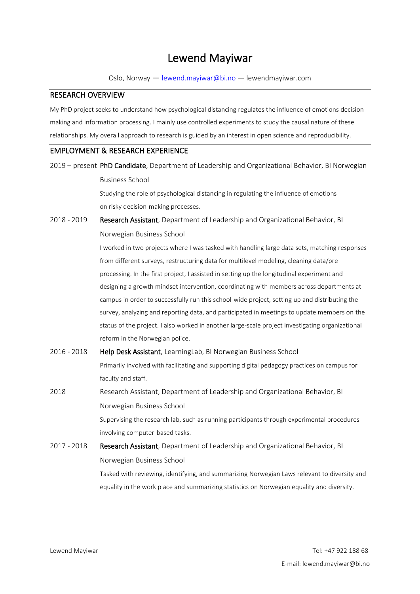# Lewend Mayiwar

Oslo, Norway — lewend.mayiwar@bi.no — lewendmayiwar.com

#### RESEARCH OVERVIEW

My PhD project seeks to understand how psychological distancing regulates the influence of emotions decision making and information processing. I mainly use controlled experiments to study the causal nature of these relationships. My overall approach to research is guided by an interest in open science and reproducibility.

## EMPLOYMENT & RESEARCH EXPERIENCE

2019 – present PhD Candidate, Department of Leadership and Organizational Behavior, BI Norwegian Business School

> Studying the role of psychological distancing in regulating the influence of emotions on risky decision-making processes.

2018 - 2019 Research Assistant, Department of Leadership and Organizational Behavior, BI Norwegian Business School

> I worked in two projects where I was tasked with handling large data sets, matching responses from different surveys, restructuring data for multilevel modeling, cleaning data/pre processing. In the first project, I assisted in setting up the longitudinal experiment and designing a growth mindset intervention, coordinating with members across departments at campus in order to successfully run this school-wide project, setting up and distributing the survey, analyzing and reporting data, and participated in meetings to update members on the status of the project. I also worked in another large-scale project investigating organizational reform in the Norwegian police.

| 2016 - 2018 | Help Desk Assistant, Learning Lab, BI Norwegian Business School                              |
|-------------|----------------------------------------------------------------------------------------------|
|             | Primarily involved with facilitating and supporting digital pedagogy practices on campus for |
|             | faculty and staff.                                                                           |
| 2018        | Research Assistant, Department of Leadership and Organizational Behavior, BI                 |
|             | Norwegian Business School                                                                    |
|             | Supervising the research lab, such as running participants through experimental procedures   |
|             | involving computer-based tasks.                                                              |
| 2017 - 2018 | <b>Research Assistant</b> , Department of Leadership and Organizational Behavior, BI         |
|             | Norwegian Business School                                                                    |
|             | Tasked with reviewing, identifying, and summarizing Norwegian Laws relevant to diversity and |
|             | equality in the work place and summarizing statistics on Norwegian equality and diversity.   |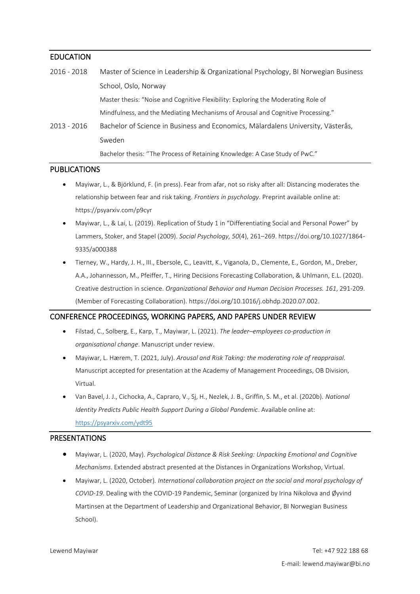#### EDUCATION

2016 - 2018 Master of Science in Leadership & Organizational Psychology, BI Norwegian Business School, Oslo, Norway Master thesis: "Noise and Cognitive Flexibility: Exploring the Moderating Role of Mindfulness, and the Mediating Mechanisms of Arousal and Cognitive Processing." 2013 - 2016 Bachelor of Science in Business and Economics, Mälardalens University, Västerås, Sweden

Bachelor thesis: ''The Process of Retaining Knowledge: A Case Study of PwC."

## PUBLICATIONS

- Mayiwar, L., & Björklund, F. (in press). Fear from afar, not so risky after all: Distancing moderates the relationship between fear and risk taking. *Frontiers in psychology*. Preprint available online at: https://psyarxiv.com/p9cyr
- Mayiwar, L., & Lai, L. (2019). Replication of Study 1 in "Differentiating Social and Personal Power" by Lammers, Stoker, and Stapel (2009). *Social Psychology, 50*(4), 261–269. https://doi.org/10.1027/1864- 9335/a000388
- Tierney, W., Hardy, J. H., III., Ebersole, C., Leavitt, K., Viganola, D., Clemente, E., Gordon, M., Dreber, A.A., Johannesson, M., Pfeiffer, T., Hiring Decisions Forecasting Collaboration, & Uhlmann, E.L. (2020). Creative destruction in science. *Organizational Behavior and Human Decision Processes. 161*, 291-209. (Member of Forecasting Collaboration). https://doi.org/10.1016/j.obhdp.2020.07.002.

#### CONFERENCE PROCEEDINGS, WORKING PAPERS, AND PAPERS UNDER REVIEW

- Filstad, C., Solberg, E., Karp, T., Mayiwar, L. (2021). *The leader–employees co-production in organisational change*. Manuscript under review.
- Mayiwar, L. Hærem, T. (2021, July). *Arousal and Risk Taking: the moderating role of reappraisal*. Manuscript accepted for presentation at the Academy of Management Proceedings, OB Division, Virtual.
- Van Bavel, J. J., Cichocka, A., Capraro, V., Sj, H., Nezlek, J. B., Griffin, S. M., et al. (2020b). *National Identity Predicts Public Health Support During a Global Pandemic*. Available online at: <https://psyarxiv.com/ydt95>

#### PRESENTATIONS

- Mayiwar, L. (2020, May). *Psychological Distance & Risk Seeking: Unpacking Emotional and Cognitive Mechanisms*. Extended abstract presented at the Distances in Organizations Workshop, Virtual.
- Mayiwar, L. (2020, October)*. International collaboration project on the social and moral psychology of COVID-19*. Dealing with the COVID-19 Pandemic, Seminar (organized by Irina Nikolova and Øyvind Martinsen at the Department of Leadership and Organizational Behavior, BI Norwegian Business School).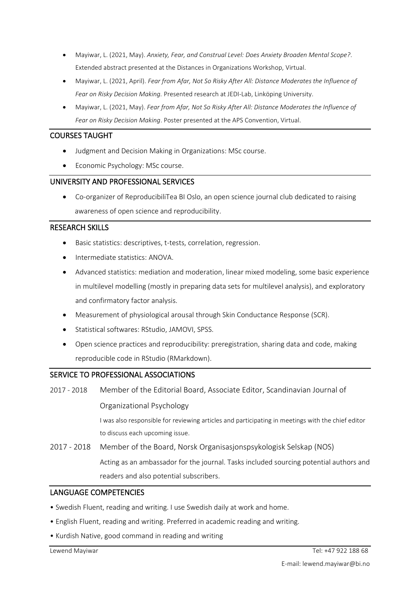- Mayiwar, L. (2021, May). *Anxiety, Fear, and Construal Level: Does Anxiety Broaden Mental Scope?*. Extended abstract presented at the Distances in Organizations Workshop, Virtual.
- Mayiwar, L. (2021, April). *Fear from Afar, Not So Risky After All: Distance Moderates the Influence of Fear on Risky Decision Making.* Presented research at JEDI-Lab, Linköping University.
- Mayiwar, L. (2021, May). *Fear from Afar, Not So Risky After All: Distance Moderates the Influence of Fear on Risky Decision Making*. Poster presented at the APS Convention, Virtual.

# COURSES TAUGHT

- Judgment and Decision Making in Organizations: MSc course.
- Economic Psychology: MSc course.

# UNIVERSITY AND PROFESSIONAL SERVICES

• Co-organizer of ReproducibiliTea BI Oslo, an open science journal club dedicated to raising awareness of open science and reproducibility.

# RESEARCH SKILLS

- Basic statistics: descriptives, t-tests, correlation, regression.
- Intermediate statistics: ANOVA.
- Advanced statistics: mediation and moderation, linear mixed modeling, some basic experience in multilevel modelling (mostly in preparing data sets for multilevel analysis), and exploratory and confirmatory factor analysis.
- Measurement of physiological arousal through Skin Conductance Response (SCR).
- Statistical softwares: RStudio, JAMOVI, SPSS.
- Open science practices and reproducibility: preregistration, sharing data and code, making reproducible code in RStudio (RMarkdown).

## SERVICE TO PROFESSIONAL ASSOCIATIONS

2017 - 2018 Member of the Editorial Board, Associate Editor, Scandinavian Journal of

Organizational Psychology

I was also responsible for reviewing articles and participating in meetings with the chief editor to discuss each upcoming issue.

2017 - 2018 Member of the Board, Norsk Organisasjonspsykologisk Selskap (NOS) Acting as an ambassador for the journal. Tasks included sourcing potential authors and readers and also potential subscribers.

## LANGUAGE COMPETENCIES

- Swedish Fluent, reading and writing. I use Swedish daily at work and home.
- English Fluent, reading and writing. Preferred in academic reading and writing.
- Kurdish Native, good command in reading and writing